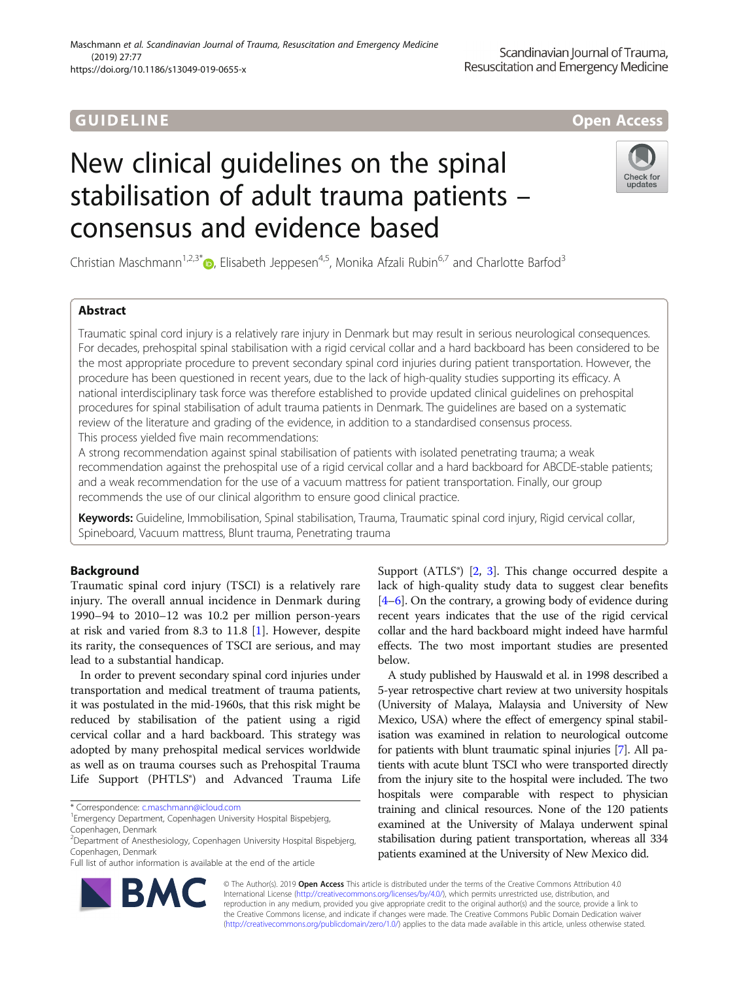# **GUIDELINE CONTROL** CONTROL CONTROL CONTROL CONTROL CONTROL CONTROL CONTROL CONTROL CONTROL CONTROL CONTROL CONTRO

# New clinical guidelines on the spinal stabilisation of adult trauma patients – consensus and evidence based

Christian Maschmann<sup>1[,](http://orcid.org/0000-0002-3403-3236)2,3\*</sup> $\odot$ , Elisabeth Jeppesen<sup>4,5</sup>, Monika Afzali Rubin<sup>6,7</sup> and Charlotte Barfod<sup>3</sup>

# Abstract

Traumatic spinal cord injury is a relatively rare injury in Denmark but may result in serious neurological consequences. For decades, prehospital spinal stabilisation with a rigid cervical collar and a hard backboard has been considered to be the most appropriate procedure to prevent secondary spinal cord injuries during patient transportation. However, the procedure has been questioned in recent years, due to the lack of high-quality studies supporting its efficacy. A national interdisciplinary task force was therefore established to provide updated clinical guidelines on prehospital procedures for spinal stabilisation of adult trauma patients in Denmark. The guidelines are based on a systematic review of the literature and grading of the evidence, in addition to a standardised consensus process. This process yielded five main recommendations:

A strong recommendation against spinal stabilisation of patients with isolated penetrating trauma; a weak recommendation against the prehospital use of a rigid cervical collar and a hard backboard for ABCDE-stable patients; and a weak recommendation for the use of a vacuum mattress for patient transportation. Finally, our group recommends the use of our clinical algorithm to ensure good clinical practice.

Keywords: Guideline, Immobilisation, Spinal stabilisation, Trauma, Traumatic spinal cord injury, Rigid cervical collar, Spineboard, Vacuum mattress, Blunt trauma, Penetrating trauma

# Background

Traumatic spinal cord injury (TSCI) is a relatively rare injury. The overall annual incidence in Denmark during 1990–94 to 2010–12 was 10.2 per million person-years at risk and varied from 8.3 to 11.8 [\[1](#page-8-0)]. However, despite its rarity, the consequences of TSCI are serious, and may lead to a substantial handicap.

In order to prevent secondary spinal cord injuries under transportation and medical treatment of trauma patients, it was postulated in the mid-1960s, that this risk might be reduced by stabilisation of the patient using a rigid cervical collar and a hard backboard. This strategy was adopted by many prehospital medical services worldwide as well as on trauma courses such as Prehospital Trauma Life Support (PHTLS®) and Advanced Trauma Life

\* Correspondence: [c.maschmann@icloud.com](mailto:c.maschmann@icloud.com) <sup>1</sup>

Full list of author information is available at the end of the article

Support  $(ATLS<sup>°</sup>)$  [\[2](#page-8-0), [3](#page-8-0)]. This change occurred despite a lack of high-quality study data to suggest clear benefits [[4](#page-8-0)–[6](#page-8-0)]. On the contrary, a growing body of evidence during recent years indicates that the use of the rigid cervical collar and the hard backboard might indeed have harmful effects. The two most important studies are presented below.

A study published by Hauswald et al. in 1998 described a 5-year retrospective chart review at two university hospitals (University of Malaya, Malaysia and University of New Mexico, USA) where the effect of emergency spinal stabilisation was examined in relation to neurological outcome for patients with blunt traumatic spinal injuries [\[7\]](#page-8-0). All patients with acute blunt TSCI who were transported directly from the injury site to the hospital were included. The two hospitals were comparable with respect to physician training and clinical resources. None of the 120 patients examined at the University of Malaya underwent spinal stabilisation during patient transportation, whereas all 334 patients examined at the University of New Mexico did.

© The Author(s). 2019 Open Access This article is distributed under the terms of the Creative Commons Attribution 4.0 International License [\(http://creativecommons.org/licenses/by/4.0/](http://creativecommons.org/licenses/by/4.0/)), which permits unrestricted use, distribution, and reproduction in any medium, provided you give appropriate credit to the original author(s) and the source, provide a link to the Creative Commons license, and indicate if changes were made. The Creative Commons Public Domain Dedication waiver [\(http://creativecommons.org/publicdomain/zero/1.0/](http://creativecommons.org/publicdomain/zero/1.0/)) applies to the data made available in this article, unless otherwise stated.





Emergency Department, Copenhagen University Hospital Bispebjerg, Copenhagen, Denmark

<sup>2</sup> Department of Anesthesiology, Copenhagen University Hospital Bispebjerg, Copenhagen, Denmark

Maschmann et al. Scandinavian Journal of Trauma, Resuscitation and Emergency Medicine (2019) 27:77 https://doi.org/10.1186/s13049-019-0655-x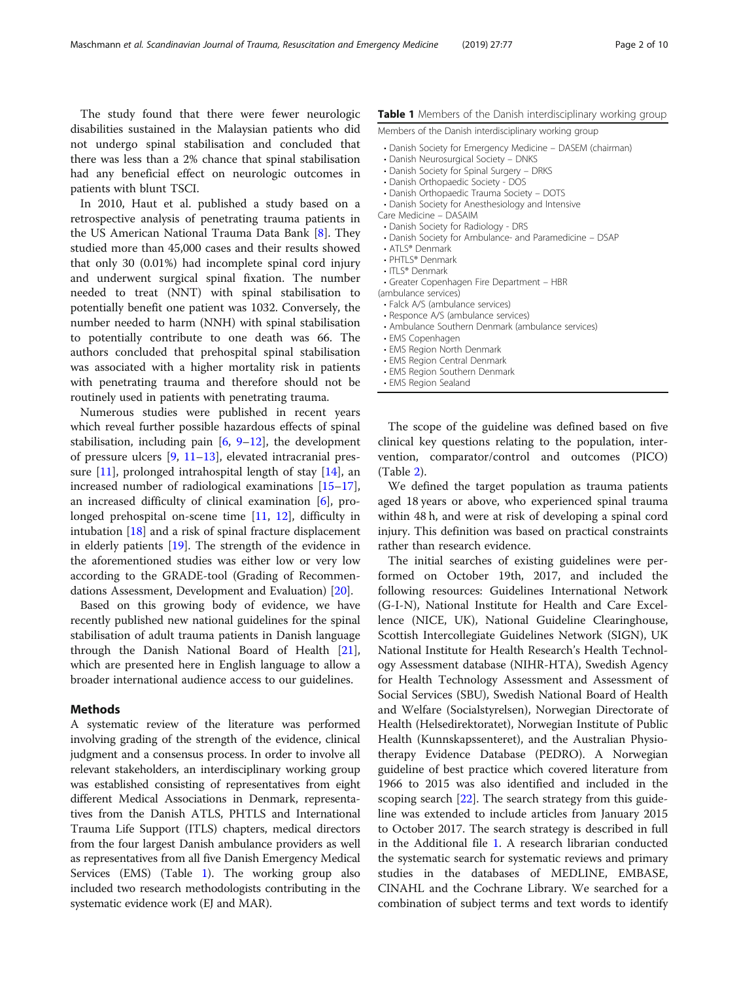The study found that there were fewer neurologic disabilities sustained in the Malaysian patients who did not undergo spinal stabilisation and concluded that there was less than a 2% chance that spinal stabilisation had any beneficial effect on neurologic outcomes in patients with blunt TSCI.

In 2010, Haut et al. published a study based on a retrospective analysis of penetrating trauma patients in the US American National Trauma Data Bank [\[8](#page-8-0)]. They studied more than 45,000 cases and their results showed that only 30 (0.01%) had incomplete spinal cord injury and underwent surgical spinal fixation. The number needed to treat (NNT) with spinal stabilisation to potentially benefit one patient was 1032. Conversely, the number needed to harm (NNH) with spinal stabilisation to potentially contribute to one death was 66. The authors concluded that prehospital spinal stabilisation was associated with a higher mortality risk in patients with penetrating trauma and therefore should not be routinely used in patients with penetrating trauma.

Numerous studies were published in recent years which reveal further possible hazardous effects of spinal stabilisation, including pain  $[6, 9-12]$  $[6, 9-12]$  $[6, 9-12]$  $[6, 9-12]$  $[6, 9-12]$  $[6, 9-12]$ , the development of pressure ulcers [\[9](#page-8-0), [11](#page-8-0)–[13\]](#page-8-0), elevated intracranial pressure [[11](#page-8-0)], prolonged intrahospital length of stay [\[14\]](#page-8-0), an increased number of radiological examinations [[15](#page-8-0)–[17](#page-8-0)], an increased difficulty of clinical examination [\[6](#page-8-0)], prolonged prehospital on-scene time [[11,](#page-8-0) [12](#page-8-0)], difficulty in intubation [\[18\]](#page-8-0) and a risk of spinal fracture displacement in elderly patients [[19](#page-8-0)]. The strength of the evidence in the aforementioned studies was either low or very low according to the GRADE-tool (Grading of Recommendations Assessment, Development and Evaluation) [[20](#page-8-0)].

Based on this growing body of evidence, we have recently published new national guidelines for the spinal stabilisation of adult trauma patients in Danish language through the Danish National Board of Health [\[21](#page-8-0)], which are presented here in English language to allow a broader international audience access to our guidelines.

# Methods

A systematic review of the literature was performed involving grading of the strength of the evidence, clinical judgment and a consensus process. In order to involve all relevant stakeholders, an interdisciplinary working group was established consisting of representatives from eight different Medical Associations in Denmark, representatives from the Danish ATLS, PHTLS and International Trauma Life Support (ITLS) chapters, medical directors from the four largest Danish ambulance providers as well as representatives from all five Danish Emergency Medical Services (EMS) (Table 1). The working group also included two research methodologists contributing in the systematic evidence work (EJ and MAR).

# Table 1 Members of the Danish interdisciplinary working group

Members of the Danish interdisciplinary working group

- Danish Society for Emergency Medicine DASEM (chairman)
- Danish Neurosurgical Society DNKS
- Danish Society for Spinal Surgery DRKS
- Danish Orthopaedic Society DOS
- Danish Orthopaedic Trauma Society DOTS
- Danish Society for Anesthesiology and Intensive Care Medicine – DASAIM
- Danish Society for Radiology DRS
- Danish Society for Ambulance- and Paramedicine DSAP
- ATLS® Denmark
- PHTI S® Denmark
- ITLS® Denmark
- Greater Copenhagen Fire Department HBR
- (ambulance services)
- Falck A/S (ambulance services)
- Responce A/S (ambulance services)
- Ambulance Southern Denmark (ambulance services)
- EMS Copenhagen
- EMS Region North Denmark
- EMS Region Central Denmark
- EMS Region Southern Denmark
- EMS Region Sealand

The scope of the guideline was defined based on five clinical key questions relating to the population, intervention, comparator/control and outcomes (PICO) (Table [2\)](#page-2-0).

We defined the target population as trauma patients aged 18 years or above, who experienced spinal trauma within 48 h, and were at risk of developing a spinal cord injury. This definition was based on practical constraints rather than research evidence.

The initial searches of existing guidelines were performed on October 19th, 2017, and included the following resources: Guidelines International Network (G-I-N), National Institute for Health and Care Excellence (NICE, UK), National Guideline Clearinghouse, Scottish Intercollegiate Guidelines Network (SIGN), UK National Institute for Health Research's Health Technology Assessment database (NIHR-HTA), Swedish Agency for Health Technology Assessment and Assessment of Social Services (SBU), Swedish National Board of Health and Welfare (Socialstyrelsen), Norwegian Directorate of Health (Helsedirektoratet), Norwegian Institute of Public Health (Kunnskapssenteret), and the Australian Physiotherapy Evidence Database (PEDRO). A Norwegian guideline of best practice which covered literature from 1966 to 2015 was also identified and included in the scoping search [\[22\]](#page-8-0). The search strategy from this guideline was extended to include articles from January 2015 to October 2017. The search strategy is described in full in the Additional file [1](#page-7-0). A research librarian conducted the systematic search for systematic reviews and primary studies in the databases of MEDLINE, EMBASE, CINAHL and the Cochrane Library. We searched for a combination of subject terms and text words to identify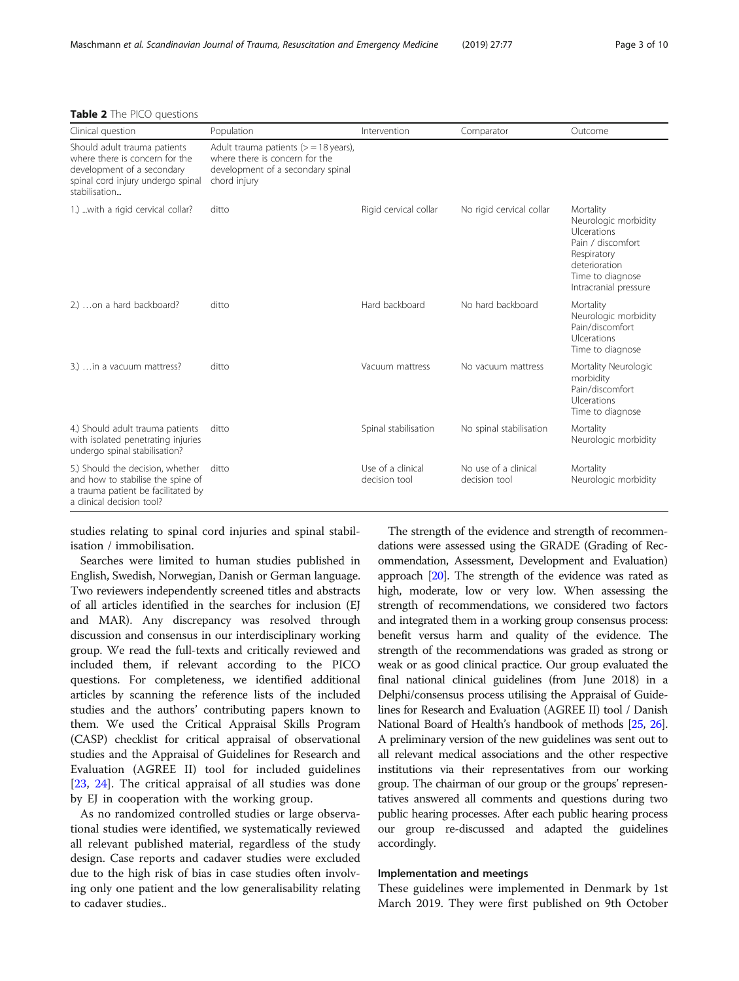<span id="page-2-0"></span>

|  |  |  |  | <b>Table 2</b> The PICO questions |
|--|--|--|--|-----------------------------------|
|--|--|--|--|-----------------------------------|

| Clinical question                                                                                                                                  | Population                                                                                                                      | Intervention                       | Comparator                            | Outcome                                                                                                                                            |
|----------------------------------------------------------------------------------------------------------------------------------------------------|---------------------------------------------------------------------------------------------------------------------------------|------------------------------------|---------------------------------------|----------------------------------------------------------------------------------------------------------------------------------------------------|
| Should adult trauma patients<br>where there is concern for the<br>development of a secondary<br>spinal cord injury undergo spinal<br>stabilisation | Adult trauma patients ( $>$ = 18 years),<br>where there is concern for the<br>development of a secondary spinal<br>chord injury |                                    |                                       |                                                                                                                                                    |
| 1.)  with a rigid cervical collar?                                                                                                                 | ditto                                                                                                                           | Rigid cervical collar              | No rigid cervical collar              | Mortality<br>Neurologic morbidity<br>Ulcerations<br>Pain / discomfort<br>Respiratory<br>deterioration<br>Time to diagnose<br>Intracranial pressure |
| 2.) on a hard backboard?                                                                                                                           | ditto                                                                                                                           | Hard backboard                     | No hard backboard                     | Mortality<br>Neurologic morbidity<br>Pain/discomfort<br>Ulcerations<br>Time to diagnose                                                            |
| 3.)  in a vacuum mattress?                                                                                                                         | ditto                                                                                                                           | Vacuum mattress                    | No vacuum mattress                    | Mortality Neurologic<br>morbidity<br>Pain/discomfort<br>Ulcerations<br>Time to diagnose                                                            |
| 4.) Should adult trauma patients<br>with isolated penetrating injuries<br>undergo spinal stabilisation?                                            | ditto                                                                                                                           | Spinal stabilisation               | No spinal stabilisation               | Mortality<br>Neurologic morbidity                                                                                                                  |
| 5.) Should the decision, whether<br>and how to stabilise the spine of<br>a trauma patient be facilitated by<br>a clinical decision tool?           | ditto                                                                                                                           | Use of a clinical<br>decision tool | No use of a clinical<br>decision tool | Mortality<br>Neurologic morbidity                                                                                                                  |

studies relating to spinal cord injuries and spinal stabilisation / immobilisation.

Searches were limited to human studies published in English, Swedish, Norwegian, Danish or German language. Two reviewers independently screened titles and abstracts of all articles identified in the searches for inclusion (EJ and MAR). Any discrepancy was resolved through discussion and consensus in our interdisciplinary working group. We read the full-texts and critically reviewed and included them, if relevant according to the PICO questions. For completeness, we identified additional articles by scanning the reference lists of the included studies and the authors' contributing papers known to them. We used the Critical Appraisal Skills Program (CASP) checklist for critical appraisal of observational studies and the Appraisal of Guidelines for Research and Evaluation (AGREE II) tool for included guidelines [[23,](#page-8-0) [24](#page-8-0)]. The critical appraisal of all studies was done by EJ in cooperation with the working group.

As no randomized controlled studies or large observational studies were identified, we systematically reviewed all relevant published material, regardless of the study design. Case reports and cadaver studies were excluded due to the high risk of bias in case studies often involving only one patient and the low generalisability relating to cadaver studies..

The strength of the evidence and strength of recommendations were assessed using the GRADE (Grading of Recommendation, Assessment, Development and Evaluation) approach [\[20](#page-8-0)]. The strength of the evidence was rated as high, moderate, low or very low. When assessing the strength of recommendations, we considered two factors and integrated them in a working group consensus process: benefit versus harm and quality of the evidence. The strength of the recommendations was graded as strong or weak or as good clinical practice. Our group evaluated the final national clinical guidelines (from June 2018) in a Delphi/consensus process utilising the Appraisal of Guidelines for Research and Evaluation (AGREE II) tool / Danish National Board of Health's handbook of methods [\[25,](#page-8-0) [26](#page-8-0)]. A preliminary version of the new guidelines was sent out to all relevant medical associations and the other respective institutions via their representatives from our working group. The chairman of our group or the groups' representatives answered all comments and questions during two public hearing processes. After each public hearing process our group re-discussed and adapted the guidelines accordingly.

# Implementation and meetings

These guidelines were implemented in Denmark by 1st March 2019. They were first published on 9th October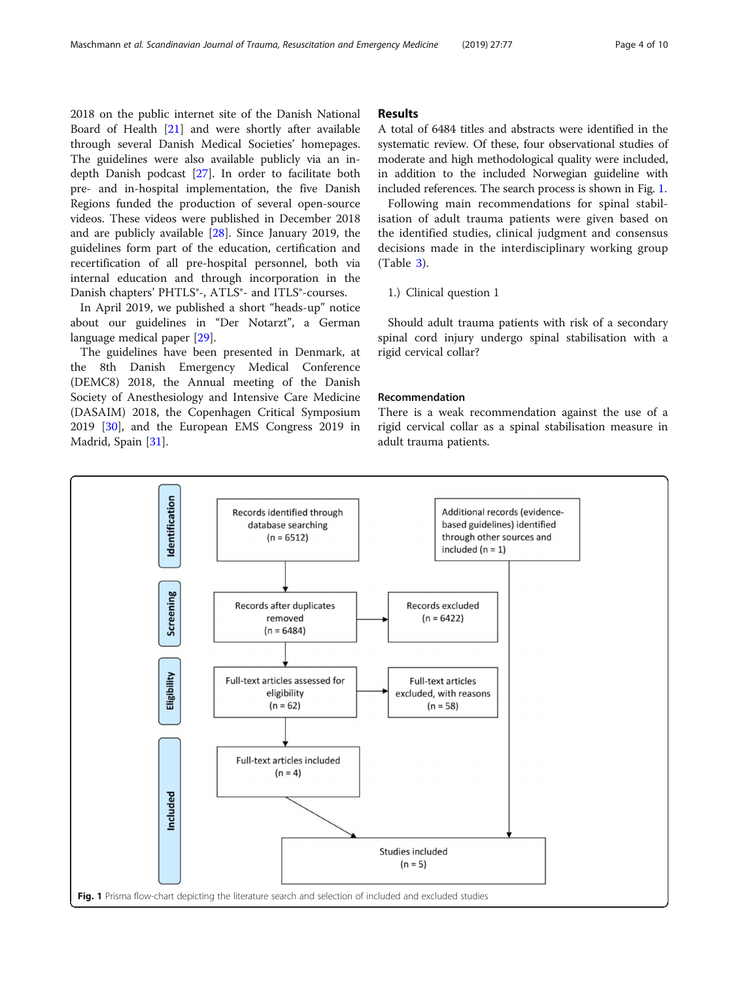2018 on the public internet site of the Danish National Board of Health [\[21](#page-8-0)] and were shortly after available through several Danish Medical Societies' homepages. The guidelines were also available publicly via an indepth Danish podcast [\[27\]](#page-8-0). In order to facilitate both pre- and in-hospital implementation, the five Danish Regions funded the production of several open-source videos. These videos were published in December 2018 and are publicly available [\[28](#page-8-0)]. Since January 2019, the guidelines form part of the education, certification and recertification of all pre-hospital personnel, both via internal education and through incorporation in the Danish chapters' PHTLS®-, ATLS®- and ITLS®-courses.

In April 2019, we published a short "heads-up" notice about our guidelines in "Der Notarzt", a German language medical paper [\[29](#page-8-0)].

The guidelines have been presented in Denmark, at the 8th Danish Emergency Medical Conference (DEMC8) 2018, the Annual meeting of the Danish Society of Anesthesiology and Intensive Care Medicine (DASAIM) 2018, the Copenhagen Critical Symposium 2019 [\[30\]](#page-8-0), and the European EMS Congress 2019 in Madrid, Spain [[31](#page-8-0)].

# Results

A total of 6484 titles and abstracts were identified in the systematic review. Of these, four observational studies of moderate and high methodological quality were included, in addition to the included Norwegian guideline with included references. The search process is shown in Fig. 1.

Following main recommendations for spinal stabilisation of adult trauma patients were given based on the identified studies, clinical judgment and consensus decisions made in the interdisciplinary working group (Table [3](#page-4-0)).

1.) Clinical question 1

Should adult trauma patients with risk of a secondary spinal cord injury undergo spinal stabilisation with a rigid cervical collar?

# Recommendation

There is a weak recommendation against the use of a rigid cervical collar as a spinal stabilisation measure in adult trauma patients.

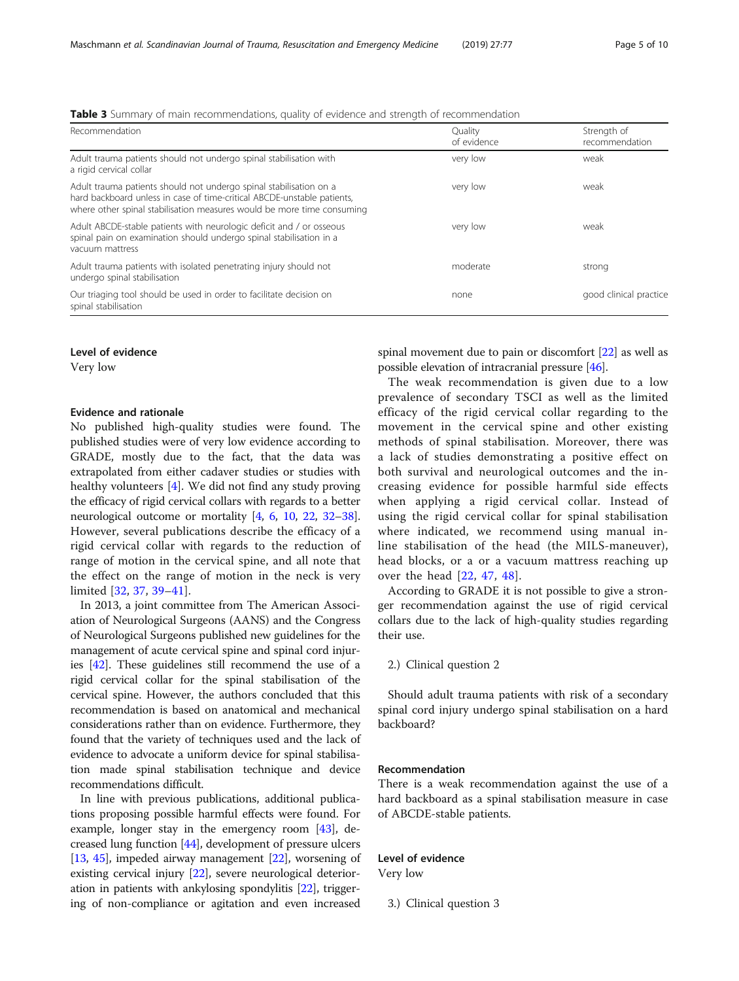<span id="page-4-0"></span>

| Table 3 Summary of main recommendations, quality of evidence and strength of recommendation |  |
|---------------------------------------------------------------------------------------------|--|
|---------------------------------------------------------------------------------------------|--|

| Recommendation                                                                                                                                                                                                          | Quality<br>of evidence | Strength of<br>recommendation |
|-------------------------------------------------------------------------------------------------------------------------------------------------------------------------------------------------------------------------|------------------------|-------------------------------|
| Adult trauma patients should not undergo spinal stabilisation with<br>a rigid cervical collar                                                                                                                           | very low               | weak                          |
| Adult trauma patients should not undergo spinal stabilisation on a<br>hard backboard unless in case of time-critical ABCDE-unstable patients,<br>where other spinal stabilisation measures would be more time consuming | very low               | weak                          |
| Adult ABCDE-stable patients with neurologic deficit and / or osseous<br>spinal pain on examination should undergo spinal stabilisation in a<br>vacuum mattress                                                          | very low               | weak                          |
| Adult trauma patients with isolated penetrating injury should not<br>undergo spinal stabilisation                                                                                                                       | moderate               | strong                        |
| Our triaging tool should be used in order to facilitate decision on<br>spinal stabilisation                                                                                                                             | none                   | good clinical practice        |

# Level of evidence

Very low

# Evidence and rationale

No published high-quality studies were found. The published studies were of very low evidence according to GRADE, mostly due to the fact, that the data was extrapolated from either cadaver studies or studies with healthy volunteers [\[4\]](#page-8-0). We did not find any study proving the efficacy of rigid cervical collars with regards to a better neurological outcome or mortality [\[4,](#page-8-0) [6,](#page-8-0) [10,](#page-8-0) [22,](#page-8-0) [32](#page-8-0)–[38](#page-9-0)]. However, several publications describe the efficacy of a rigid cervical collar with regards to the reduction of range of motion in the cervical spine, and all note that the effect on the range of motion in the neck is very limited [\[32](#page-8-0), [37](#page-9-0), [39](#page-9-0)–[41\]](#page-9-0).

In 2013, a joint committee from The American Association of Neurological Surgeons (AANS) and the Congress of Neurological Surgeons published new guidelines for the management of acute cervical spine and spinal cord injuries [[42](#page-9-0)]. These guidelines still recommend the use of a rigid cervical collar for the spinal stabilisation of the cervical spine. However, the authors concluded that this recommendation is based on anatomical and mechanical considerations rather than on evidence. Furthermore, they found that the variety of techniques used and the lack of evidence to advocate a uniform device for spinal stabilisation made spinal stabilisation technique and device recommendations difficult.

In line with previous publications, additional publications proposing possible harmful effects were found. For example, longer stay in the emergency room [[43](#page-9-0)], decreased lung function [[44](#page-9-0)], development of pressure ulcers [[13](#page-8-0), [45\]](#page-9-0), impeded airway management [[22](#page-8-0)], worsening of existing cervical injury [\[22](#page-8-0)], severe neurological deterioration in patients with ankylosing spondylitis [\[22](#page-8-0)], triggering of non-compliance or agitation and even increased spinal movement due to pain or discomfort [\[22\]](#page-8-0) as well as possible elevation of intracranial pressure [\[46](#page-9-0)].

The weak recommendation is given due to a low prevalence of secondary TSCI as well as the limited efficacy of the rigid cervical collar regarding to the movement in the cervical spine and other existing methods of spinal stabilisation. Moreover, there was a lack of studies demonstrating a positive effect on both survival and neurological outcomes and the increasing evidence for possible harmful side effects when applying a rigid cervical collar. Instead of using the rigid cervical collar for spinal stabilisation where indicated, we recommend using manual inline stabilisation of the head (the MILS-maneuver), head blocks, or a or a vacuum mattress reaching up over the head [[22](#page-8-0), [47](#page-9-0), [48\]](#page-9-0).

According to GRADE it is not possible to give a stronger recommendation against the use of rigid cervical collars due to the lack of high-quality studies regarding their use.

2.) Clinical question 2

Should adult trauma patients with risk of a secondary spinal cord injury undergo spinal stabilisation on a hard backboard?

# Recommendation

There is a weak recommendation against the use of a hard backboard as a spinal stabilisation measure in case of ABCDE-stable patients.

# Level of evidence

Very low

3.) Clinical question 3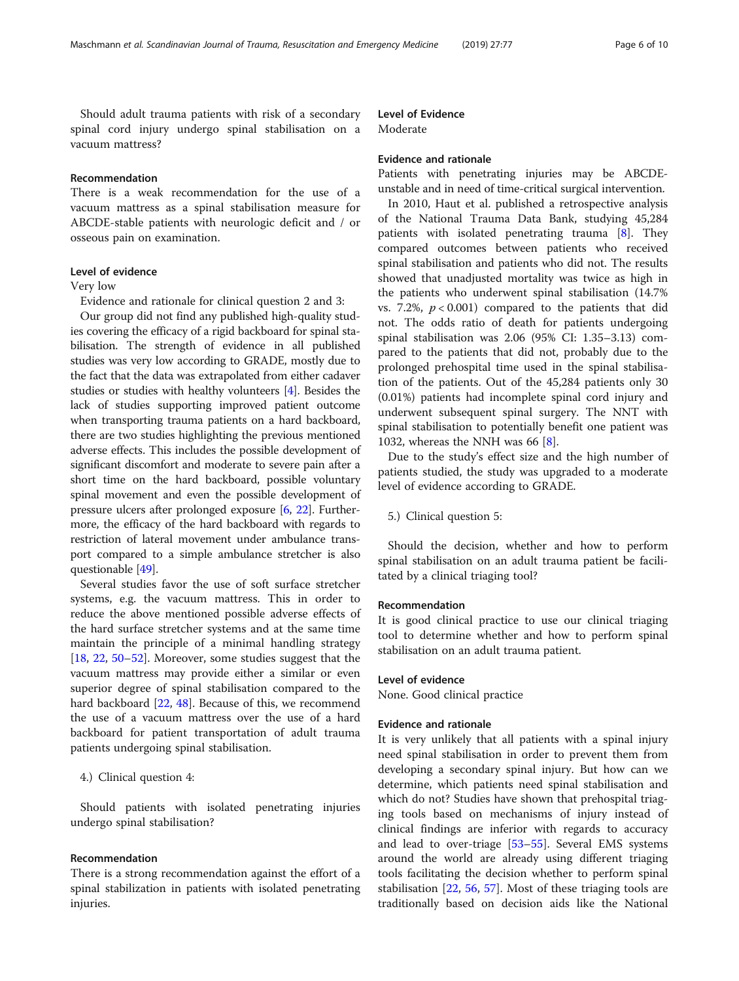Should adult trauma patients with risk of a secondary spinal cord injury undergo spinal stabilisation on a vacuum mattress?

# Recommendation

There is a weak recommendation for the use of a vacuum mattress as a spinal stabilisation measure for ABCDE-stable patients with neurologic deficit and / or osseous pain on examination.

# Level of evidence

# Very low

Evidence and rationale for clinical question 2 and 3:

Our group did not find any published high-quality studies covering the efficacy of a rigid backboard for spinal stabilisation. The strength of evidence in all published studies was very low according to GRADE, mostly due to the fact that the data was extrapolated from either cadaver studies or studies with healthy volunteers [[4\]](#page-8-0). Besides the lack of studies supporting improved patient outcome when transporting trauma patients on a hard backboard, there are two studies highlighting the previous mentioned adverse effects. This includes the possible development of significant discomfort and moderate to severe pain after a short time on the hard backboard, possible voluntary spinal movement and even the possible development of pressure ulcers after prolonged exposure [\[6](#page-8-0), [22](#page-8-0)]. Furthermore, the efficacy of the hard backboard with regards to restriction of lateral movement under ambulance transport compared to a simple ambulance stretcher is also questionable [[49](#page-9-0)].

Several studies favor the use of soft surface stretcher systems, e.g. the vacuum mattress. This in order to reduce the above mentioned possible adverse effects of the hard surface stretcher systems and at the same time maintain the principle of a minimal handling strategy [[18,](#page-8-0) [22,](#page-8-0) [50](#page-9-0)–[52\]](#page-9-0). Moreover, some studies suggest that the vacuum mattress may provide either a similar or even superior degree of spinal stabilisation compared to the hard backboard [\[22,](#page-8-0) [48\]](#page-9-0). Because of this, we recommend the use of a vacuum mattress over the use of a hard backboard for patient transportation of adult trauma patients undergoing spinal stabilisation.

# 4.) Clinical question 4:

Should patients with isolated penetrating injuries undergo spinal stabilisation?

### Recommendation

There is a strong recommendation against the effort of a spinal stabilization in patients with isolated penetrating injuries.

# Level of Evidence

Moderate

#### Evidence and rationale

Patients with penetrating injuries may be ABCDEunstable and in need of time-critical surgical intervention.

In 2010, Haut et al. published a retrospective analysis of the National Trauma Data Bank, studying 45,284 patients with isolated penetrating trauma [[8](#page-8-0)]. They compared outcomes between patients who received spinal stabilisation and patients who did not. The results showed that unadjusted mortality was twice as high in the patients who underwent spinal stabilisation (14.7% vs. 7.2%,  $p < 0.001$ ) compared to the patients that did not. The odds ratio of death for patients undergoing spinal stabilisation was 2.06 (95% CI: 1.35–3.13) compared to the patients that did not, probably due to the prolonged prehospital time used in the spinal stabilisation of the patients. Out of the 45,284 patients only 30 (0.01%) patients had incomplete spinal cord injury and underwent subsequent spinal surgery. The NNT with spinal stabilisation to potentially benefit one patient was 1032, whereas the NNH was 66 [\[8](#page-8-0)].

Due to the study's effect size and the high number of patients studied, the study was upgraded to a moderate level of evidence according to GRADE.

5.) Clinical question 5:

Should the decision, whether and how to perform spinal stabilisation on an adult trauma patient be facilitated by a clinical triaging tool?

#### Recommendation

It is good clinical practice to use our clinical triaging tool to determine whether and how to perform spinal stabilisation on an adult trauma patient.

# Level of evidence

None. Good clinical practice

# Evidence and rationale

It is very unlikely that all patients with a spinal injury need spinal stabilisation in order to prevent them from developing a secondary spinal injury. But how can we determine, which patients need spinal stabilisation and which do not? Studies have shown that prehospital triaging tools based on mechanisms of injury instead of clinical findings are inferior with regards to accuracy and lead to over-triage [\[53](#page-9-0)–[55\]](#page-9-0). Several EMS systems around the world are already using different triaging tools facilitating the decision whether to perform spinal stabilisation [[22,](#page-8-0) [56,](#page-9-0) [57](#page-9-0)]. Most of these triaging tools are traditionally based on decision aids like the National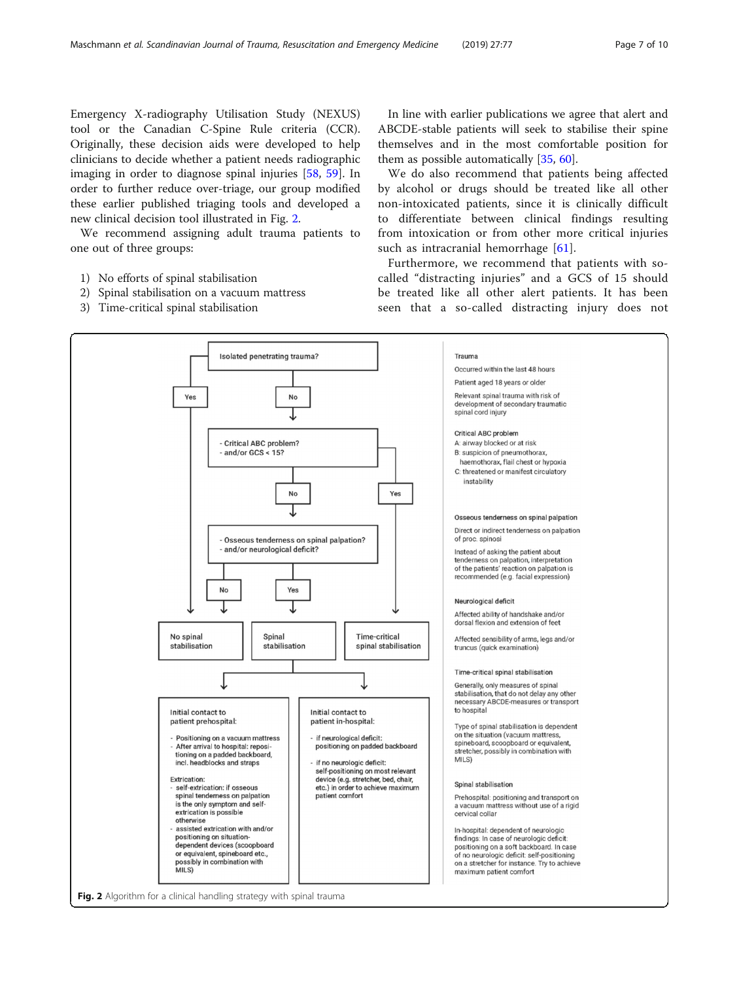Emergency X-radiography Utilisation Study (NEXUS) tool or the Canadian C-Spine Rule criteria (CCR). Originally, these decision aids were developed to help clinicians to decide whether a patient needs radiographic imaging in order to diagnose spinal injuries [\[58,](#page-9-0) [59\]](#page-9-0). In order to further reduce over-triage, our group modified these earlier published triaging tools and developed a new clinical decision tool illustrated in Fig. 2.

We recommend assigning adult trauma patients to one out of three groups:

- 1) No efforts of spinal stabilisation
- 2) Spinal stabilisation on a vacuum mattress
- 3) Time-critical spinal stabilisation

In line with earlier publications we agree that alert and ABCDE-stable patients will seek to stabilise their spine themselves and in the most comfortable position for them as possible automatically [\[35,](#page-8-0) [60\]](#page-9-0).

We do also recommend that patients being affected by alcohol or drugs should be treated like all other non-intoxicated patients, since it is clinically difficult to differentiate between clinical findings resulting from intoxication or from other more critical injuries such as intracranial hemorrhage [[61\]](#page-9-0).

Furthermore, we recommend that patients with socalled "distracting injuries" and a GCS of 15 should be treated like all other alert patients. It has been seen that a so-called distracting injury does not

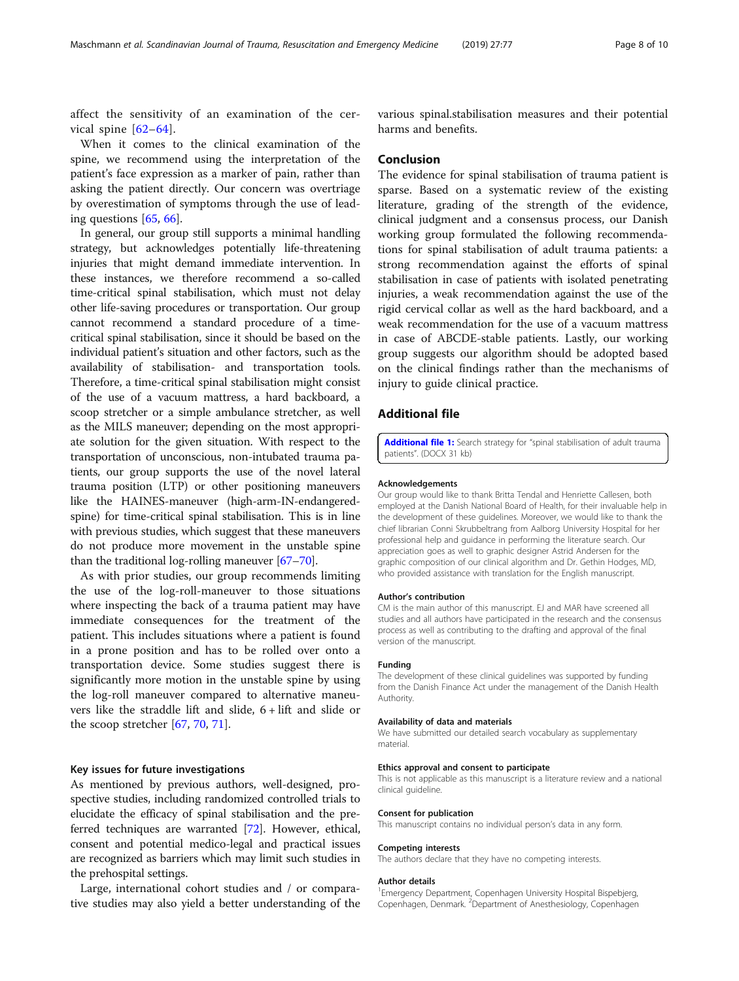<span id="page-7-0"></span>affect the sensitivity of an examination of the cervical spine [[62](#page-9-0)–[64](#page-9-0)].

When it comes to the clinical examination of the spine, we recommend using the interpretation of the patient's face expression as a marker of pain, rather than asking the patient directly. Our concern was overtriage by overestimation of symptoms through the use of leading questions [\[65,](#page-9-0) [66\]](#page-9-0).

In general, our group still supports a minimal handling strategy, but acknowledges potentially life-threatening injuries that might demand immediate intervention. In these instances, we therefore recommend a so-called time-critical spinal stabilisation, which must not delay other life-saving procedures or transportation. Our group cannot recommend a standard procedure of a timecritical spinal stabilisation, since it should be based on the individual patient's situation and other factors, such as the availability of stabilisation- and transportation tools. Therefore, a time-critical spinal stabilisation might consist of the use of a vacuum mattress, a hard backboard, a scoop stretcher or a simple ambulance stretcher, as well as the MILS maneuver; depending on the most appropriate solution for the given situation. With respect to the transportation of unconscious, non-intubated trauma patients, our group supports the use of the novel lateral trauma position (LTP) or other positioning maneuvers like the HAINES-maneuver (high-arm-IN-endangeredspine) for time-critical spinal stabilisation. This is in line with previous studies, which suggest that these maneuvers do not produce more movement in the unstable spine than the traditional log-rolling maneuver [\[67](#page-9-0)–[70](#page-9-0)].

As with prior studies, our group recommends limiting the use of the log-roll-maneuver to those situations where inspecting the back of a trauma patient may have immediate consequences for the treatment of the patient. This includes situations where a patient is found in a prone position and has to be rolled over onto a transportation device. Some studies suggest there is significantly more motion in the unstable spine by using the log-roll maneuver compared to alternative maneuvers like the straddle lift and slide, 6 + lift and slide or the scoop stretcher [\[67,](#page-9-0) [70,](#page-9-0) [71\]](#page-9-0).

# Key issues for future investigations

As mentioned by previous authors, well-designed, prospective studies, including randomized controlled trials to elucidate the efficacy of spinal stabilisation and the preferred techniques are warranted [\[72](#page-9-0)]. However, ethical, consent and potential medico-legal and practical issues are recognized as barriers which may limit such studies in the prehospital settings.

Large, international cohort studies and / or comparative studies may also yield a better understanding of the

various spinal.stabilisation measures and their potential harms and benefits.

# Conclusion

The evidence for spinal stabilisation of trauma patient is sparse. Based on a systematic review of the existing literature, grading of the strength of the evidence, clinical judgment and a consensus process, our Danish working group formulated the following recommendations for spinal stabilisation of adult trauma patients: a strong recommendation against the efforts of spinal stabilisation in case of patients with isolated penetrating injuries, a weak recommendation against the use of the rigid cervical collar as well as the hard backboard, and a weak recommendation for the use of a vacuum mattress in case of ABCDE-stable patients. Lastly, our working group suggests our algorithm should be adopted based on the clinical findings rather than the mechanisms of injury to guide clinical practice.

# Additional file

[Additional file 1:](https://doi.org/10.1186/s13049-019-0655-x) Search strategy for "spinal stabilisation of adult trauma patients". (DOCX 31 kb)

#### Acknowledgements

Our group would like to thank Britta Tendal and Henriette Callesen, both employed at the Danish National Board of Health, for their invaluable help in the development of these guidelines. Moreover, we would like to thank the chief librarian Conni Skrubbeltrang from Aalborg University Hospital for her professional help and guidance in performing the literature search. Our appreciation goes as well to graphic designer Astrid Andersen for the graphic composition of our clinical algorithm and Dr. Gethin Hodges, MD, who provided assistance with translation for the English manuscript.

#### Author's contribution

CM is the main author of this manuscript. EJ and MAR have screened all studies and all authors have participated in the research and the consensus process as well as contributing to the drafting and approval of the final version of the manuscript.

#### Funding

The development of these clinical guidelines was supported by funding from the Danish Finance Act under the management of the Danish Health Authority.

# Availability of data and materials

We have submitted our detailed search vocabulary as supplementary material.

#### Ethics approval and consent to participate

This is not applicable as this manuscript is a literature review and a national clinical guideline.

#### Consent for publication

This manuscript contains no individual person's data in any form.

#### Competing interests

The authors declare that they have no competing interests.

#### Author details

<sup>1</sup> Emergency Department, Copenhagen University Hospital Bispebjerg Copenhagen, Denmark. <sup>2</sup> Department of Anesthesiology, Copenhagen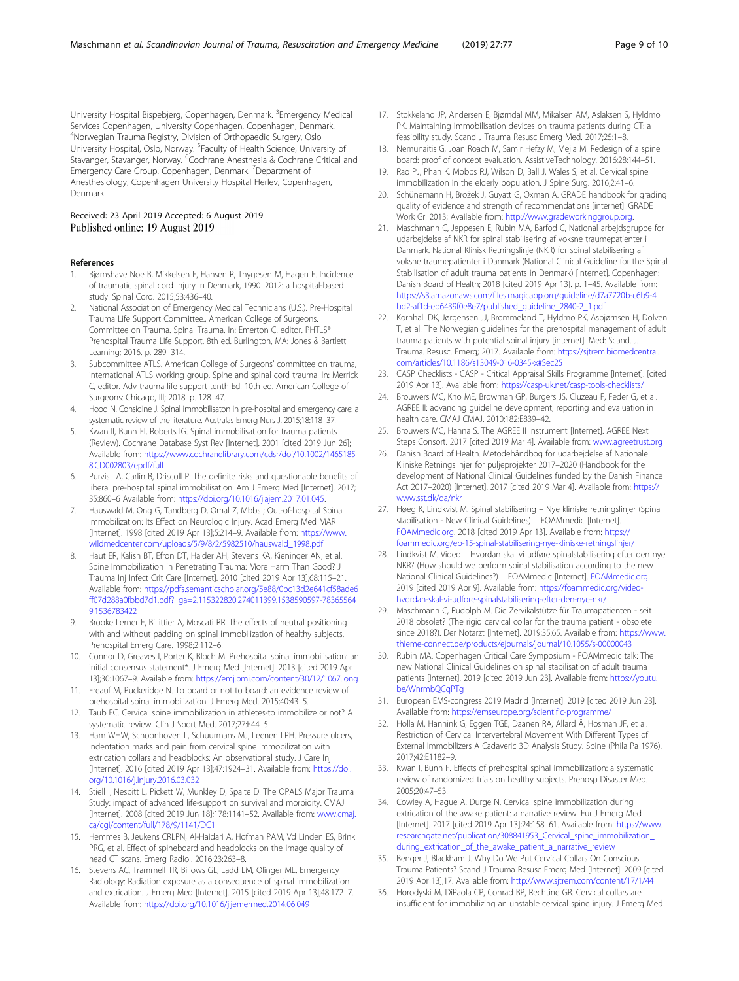<span id="page-8-0"></span>University Hospital Bispebjerg, Copenhagen, Denmark. <sup>3</sup>Emergency Medical Services Copenhagen, University Copenhagen, Copenhagen, Denmark. 4 Norwegian Trauma Registry, Division of Orthopaedic Surgery, Oslo University Hospital, Oslo, Norway. <sup>5</sup>Faculty of Health Science, University of Stavanger, Stavanger, Norway. <sup>6</sup>Cochrane Anesthesia & Cochrane Critical and Emergency Care Group, Copenhagen, Denmark. <sup>7</sup>Department of Anesthesiology, Copenhagen University Hospital Herlev, Copenhagen, Denmark.

# Received: 23 April 2019 Accepted: 6 August 2019 Published online: 19 August 2019

#### References

- 1. Bjørnshave Noe B, Mikkelsen E, Hansen R, Thygesen M, Hagen E. Incidence of traumatic spinal cord injury in Denmark, 1990–2012: a hospital-based study. Spinal Cord. 2015;53:436–40.
- 2. National Association of Emergency Medical Technicians (U.S.). Pre-Hospital Trauma Life Support Committee., American College of Surgeons. Committee on Trauma. Spinal Trauma. In: Emerton C, editor. PHTLS® Prehospital Trauma Life Support. 8th ed. Burlington, MA: Jones & Bartlett Learning; 2016. p. 289–314.
- 3. Subcommittee ATLS. American College of Surgeons' committee on trauma, international ATLS working group. Spine and spinal cord trauma. In: Merrick C, editor. Adv trauma life support tenth Ed. 10th ed. American College of Surgeons: Chicago, Ill; 2018. p. 128–47.
- 4. Hood N, Considine J. Spinal immobilisaton in pre-hospital and emergency care: a systematic review of the literature. Australas Emerg Nurs J. 2015;18:118–37.
- 5. Kwan II, Bunn FI, Roberts IG. Spinal immobilisation for trauma patients (Review). Cochrane Database Syst Rev [Internet]. 2001 [cited 2019 Jun 26]; Available from: [https://www.cochranelibrary.com/cdsr/doi/10.1002/1465185](https://www.cochranelibrary.com/cdsr/doi/10.1002/14651858.CD002803/epdf/full) [8.CD002803/epdf/full](https://www.cochranelibrary.com/cdsr/doi/10.1002/14651858.CD002803/epdf/full)
- 6. Purvis TA, Carlin B, Driscoll P. The definite risks and questionable benefits of liberal pre-hospital spinal immobilisation. Am J Emerg Med [Internet]. 2017; 35:860–6 Available from: [https://doi.org/10.1016/j.ajem.2017.01.045.](https://doi.org/10.1016/j.ajem.2017.01.045)
- 7. Hauswald M, Ong G, Tandberg D, Omal Z, Mbbs ; Out-of-hospital Spinal Immobilization: Its Effect on Neurologic Injury. Acad Emerg Med MAR [Internet]. 1998 [cited 2019 Apr 13];5:214–9. Available from: [https://www.](https://www.wildmedcenter.com/uploads/5/9/8/2/5982510/hauswald_1998.pdf) [wildmedcenter.com/uploads/5/9/8/2/5982510/hauswald\\_1998.pdf](https://www.wildmedcenter.com/uploads/5/9/8/2/5982510/hauswald_1998.pdf)
- Haut ER, Kalish BT, Efron DT, Haider AH, Stevens KA, Kieninger AN, et al. Spine Immobilization in Penetrating Trauma: More Harm Than Good? J Trauma Inj Infect Crit Care [Internet]. 2010 [cited 2019 Apr 13];68:115–21. Available from: [https://pdfs.semanticscholar.org/5e88/0bc13d2e641cf58ade6](https://pdfs.semanticscholar.org/5e88/0bc13d2e641cf58ade6ff07d288a0fbbd7d1.pdf?_ga=2.115322820.274011399.1538590597-783655649.1536783422) [ff07d288a0fbbd7d1.pdf?\\_ga=2.115322820.274011399.1538590597-78365564](https://pdfs.semanticscholar.org/5e88/0bc13d2e641cf58ade6ff07d288a0fbbd7d1.pdf?_ga=2.115322820.274011399.1538590597-783655649.1536783422) [9.1536783422](https://pdfs.semanticscholar.org/5e88/0bc13d2e641cf58ade6ff07d288a0fbbd7d1.pdf?_ga=2.115322820.274011399.1538590597-783655649.1536783422)
- Brooke Lerner E, Billittier A, Moscati RR. The effects of neutral positioning with and without padding on spinal immobilization of healthy subjects. Prehospital Emerg Care. 1998;2:112–6.
- 10. Connor D, Greaves I, Porter K, Bloch M. Prehospital spinal immobilisation: an initial consensus statement\*. J Emerg Med [Internet]. 2013 [cited 2019 Apr 13];30:1067–9. Available from: <https://emj.bmj.com/content/30/12/1067.long>
- 11. Freauf M, Puckeridge N. To board or not to board: an evidence review of prehospital spinal immobilization. J Emerg Med. 2015;40:43–5.
- Taub EC. Cervical spine immobilization in athletes-to immobilize or not? A systematic review. Clin J Sport Med. 2017;27:E44–5.
- 13. Ham WHW, Schoonhoven L, Schuurmans MJ, Leenen LPH. Pressure ulcers, indentation marks and pain from cervical spine immobilization with extrication collars and headblocks: An observational study. J Care Inj [Internet]. 2016 [cited 2019 Apr 13];47:1924–31. Available from: [https://doi.](https://doi.org/10.1016/j.injury.2016.03.032) [org/10.1016/j.injury.2016.03.032](https://doi.org/10.1016/j.injury.2016.03.032)
- 14. Stiell I, Nesbitt L, Pickett W, Munkley D, Spaite D. The OPALS Major Trauma Study: impact of advanced life-support on survival and morbidity. CMAJ [Internet]. 2008 [cited 2019 Jun 18];178:1141–52. Available from: [www.cmaj.](http://www.cmaj.ca/cgi/content/full/178/9/1141/DC1) [ca/cgi/content/full/178/9/1141/DC1](http://www.cmaj.ca/cgi/content/full/178/9/1141/DC1)
- 15. Hemmes B, Jeukens CRLPN, Al-Haidari A, Hofman PAM, Vd Linden ES, Brink PRG, et al. Effect of spineboard and headblocks on the image quality of head CT scans. Emerg Radiol. 2016;23:263–8.
- 16. Stevens AC, Trammell TR, Billows GL, Ladd LM, Olinger ML. Emergency Radiology: Radiation exposure as a consequence of spinal immobilization and extrication. J Emerg Med [Internet]. 2015 [cited 2019 Apr 13];48:172–7. Available from: <https://doi.org/10.1016/j.jemermed.2014.06.049>
- 17. Stokkeland JP, Andersen E, Bjørndal MM, Mikalsen AM, Aslaksen S, Hyldmo PK. Maintaining immobilisation devices on trauma patients during CT: a feasibility study. Scand J Trauma Resusc Emerg Med. 2017;25:1–8.
- 18. Nemunaitis G, Joan Roach M, Samir Hefzy M, Mejia M. Redesign of a spine board: proof of concept evaluation. AssistiveTechnology. 2016;28:144–51.
- 19. Rao PJ, Phan K, Mobbs RJ, Wilson D, Ball J, Wales S, et al. Cervical spine immobilization in the elderly population. J Spine Surg. 2016;2:41–6.
- 20. Schünemann H, Brożek J, Guyatt G, Oxman A. GRADE handbook for grading quality of evidence and strength of recommendations [internet]. GRADE Work Gr. 2013; Available from: [http://www.gradeworkinggroup.org.](http://www.gradeworkinggroup.org)
- 21. Maschmann C, Jeppesen E, Rubin MA, Barfod C, National arbejdsgruppe for udarbejdelse af NKR for spinal stabilisering af voksne traumepatienter i Danmark. National Klinisk Retningslinje (NKR) for spinal stabilisering af voksne traumepatienter i Danmark (National Clinical Guideline for the Spinal Stabilisation of adult trauma patients in Denmark) [Internet]. Copenhagen: Danish Board of Health; 2018 [cited 2019 Apr 13]. p. 1–45. Available from: [https://s3.amazonaws.com/files.magicapp.org/guideline/d7a7720b-c6b9-4](https://s3.amazonaws.com/files.magicapp.org/guideline/d7a7720b-c6b9-4bd2-af1d-eb6439f0e8e7/published_guideline_2840-2_1.pdf) [bd2-af1d-eb6439f0e8e7/published\\_guideline\\_2840-2\\_1.pdf](https://s3.amazonaws.com/files.magicapp.org/guideline/d7a7720b-c6b9-4bd2-af1d-eb6439f0e8e7/published_guideline_2840-2_1.pdf)
- 22. Kornhall DK, Jørgensen JJ, Brommeland T, Hyldmo PK, Asbjørnsen H, Dolven T, et al. The Norwegian guidelines for the prehospital management of adult trauma patients with potential spinal injury [internet]. Med: Scand. J. Trauma. Resusc. Emerg; 2017. Available from: [https://sjtrem.biomedcentral.](https://sjtrem.biomedcentral.com/articles/10.1186/s13049-016-0345-x#Sec25) [com/articles/10.1186/s13049-016-0345-x#Sec25](https://sjtrem.biomedcentral.com/articles/10.1186/s13049-016-0345-x#Sec25)
- 23. CASP Checklists CASP Critical Appraisal Skills Programme [Internet]. [cited 2019 Apr 13]. Available from: https://casp-uk.net/casp-tools-checklists,
- 24. Brouwers MC, Kho ME, Browman GP, Burgers JS, Cluzeau F, Feder G, et al. AGREE II: advancing guideline development, reporting and evaluation in health care. CMAJ CMAJ. 2010;182:E839–42.
- 25. Brouwers MC, Hanna S. The AGREE II Instrument [Internet]. AGREE Next Steps Consort. 2017 [cited 2019 Mar 4]. Available from: [www.agreetrust.org](http://www.agreetrust.org)
- 26. Danish Board of Health. Metodehåndbog for udarbejdelse af Nationale Kliniske Retningslinjer for puljeprojekter 2017–2020 (Handbook for the development of National Clinical Guidelines funded by the Danish Finance Act 2017–2020) [Internet]. 2017 [cited 2019 Mar 4]. Available from: [https://](https://www.sst.dk/da/nkr) [www.sst.dk/da/nkr](https://www.sst.dk/da/nkr)
- 27. Høeg K, Lindkvist M. Spinal stabilisering Nye kliniske retningslinjer (Spinal stabilisation - New Clinical Guidelines) – FOAMmedic [Internet]. [FOAMmedic.org.](http://foammedic.org) 2018 [cited 2019 Apr 13]. Available from: [https://](https://foammedic.org/ep-15-spinal-stabilisering-nye-kliniske-retningslinjer/) [foammedic.org/ep-15-spinal-stabilisering-nye-kliniske-retningslinjer/](https://foammedic.org/ep-15-spinal-stabilisering-nye-kliniske-retningslinjer/)
- 28. Lindkvist M. Video Hvordan skal vi udføre spinalstabilisering efter den nye NKR? (How should we perform spinal stabilisation according to the new National Clinical Guidelines?) – FOAMmedic [Internet]. [FOAMmedic.org.](http://foammedic.org) 2019 [cited 2019 Apr 9]. Available from: [https://foammedic.org/video](https://foammedic.org/video-hvordan-skal-vi-udfore-spinalstabilisering-efter-den-nye-nkr/)[hvordan-skal-vi-udfore-spinalstabilisering-efter-den-nye-nkr/](https://foammedic.org/video-hvordan-skal-vi-udfore-spinalstabilisering-efter-den-nye-nkr/)
- 29. Maschmann C, Rudolph M. Die Zervikalstütze für Traumapatienten seit 2018 obsolet? (The rigid cervical collar for the trauma patient - obsolete since 2018?). Der Notarzt [Internet]. 2019;35:65. Available from: [https://www.](https://www.thieme-connect.de/products/ejournals/journal/10.1055/s-00000043) [thieme-connect.de/products/ejournals/journal/10.1055/s-00000043](https://www.thieme-connect.de/products/ejournals/journal/10.1055/s-00000043)
- 30. Rubin MA. Copenhagen Critical Care Symposium FOAMmedic talk: The new National Clinical Guidelines on spinal stabilisation of adult trauma patients [Internet]. 2019 [cited 2019 Jun 23]. Available from: [https://youtu.](https://youtu.be/WnrmbQCqPTg) [be/WnrmbQCqPTg](https://youtu.be/WnrmbQCqPTg)
- 31. European EMS-congress 2019 Madrid [Internet]. 2019 [cited 2019 Jun 23]. Available from: <https://emseurope.org/scientific-programme/>
- 32. Holla M, Hannink G, Eggen TGE, Daanen RA, Allard Ã, Hosman JF, et al. Restriction of Cervical Intervertebral Movement With Different Types of External Immobilizers A Cadaveric 3D Analysis Study. Spine (Phila Pa 1976). 2017;42:E1182–9.
- 33. Kwan I, Bunn F. Effects of prehospital spinal immobilization: a systematic review of randomized trials on healthy subjects. Prehosp Disaster Med. 2005;20:47–53.
- 34. Cowley A, Hague A, Durge N. Cervical spine immobilization during extrication of the awake patient: a narrative review. Eur J Emerg Med [Internet]. 2017 [cited 2019 Apr 13];24:158–61. Available from: [https://www.](https://www.researchgate.net/publication/308841953_Cervical_spine_immobilization_during_extrication_of_the_awake_patient_a_narrative_review) [researchgate.net/publication/308841953\\_Cervical\\_spine\\_immobilization\\_](https://www.researchgate.net/publication/308841953_Cervical_spine_immobilization_during_extrication_of_the_awake_patient_a_narrative_review) [during\\_extrication\\_of\\_the\\_awake\\_patient\\_a\\_narrative\\_review](https://www.researchgate.net/publication/308841953_Cervical_spine_immobilization_during_extrication_of_the_awake_patient_a_narrative_review)
- 35. Benger J, Blackham J. Why Do We Put Cervical Collars On Conscious Trauma Patients? Scand J Trauma Resusc Emerg Med [Internet]. 2009 [cited 2019 Apr 13];17. Available from: <http://www.sjtrem.com/content/17/1/44>
- 36. Horodyski M, DiPaola CP, Conrad BP, Rechtine GR. Cervical collars are insufficient for immobilizing an unstable cervical spine injury. J Emerg Med